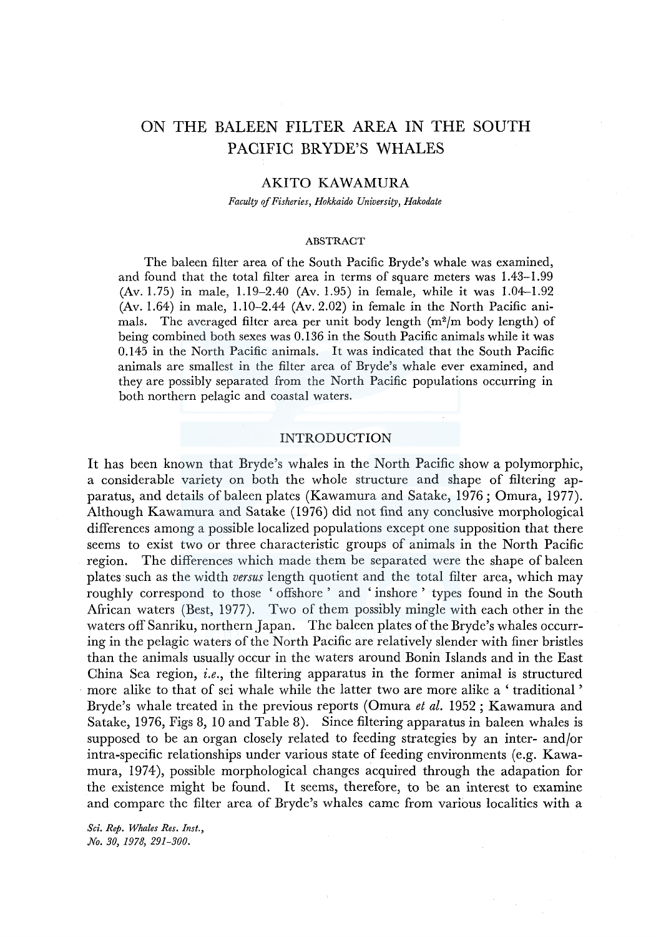# ON THE BALEEN FILTER AREA IN THE SOUTH PACIFIC BRYDE'S WHALES

## AKITO KAWAMURA

*Faculty of Fisheries, Hokkaido University, Hakodate* 

#### ABSTRACT

The baleen filter area of the South Pacific Bryde's whale was examined, and found that the total filter area in terms of square meters was 1.43-1.99 (Av. 1.75) in male, 1.19-2.40 (Av. 1.95) in female, while it was 1.04-1.92 (Av. 1.64) in male, 1.10-2.44 (Av. 2.02) in female in the North Pacific animals. The averaged filter area per unit body length  $(m^2/m$  body length) of being combined both sexes was 0.136 in the South Pacific animals while it was 0.145 in the North Pacific animals. It was indicated that the South Pacific animals are smallest in the filter area of Bryde's whale ever examined, and they are possibly separated from the North Pacific populations occurring in both northern pelagic and coastal waters.

### INTRODUCTION

It has been known that Bryde's whales in the North Pacific show a polymorphic, a considerable variety on both the whole structure and shape of filtering apparatus, and details of baleen plates (Kawamura and Satake, 1976; Omura, 1977). Although Kawamura and Satake (1976) did not find any conclusive morphological differences among a possible localized populations except one supposition that there seems to exist two or three characteristic groups of animals in the North Pacific region. The differences which made them be separated were the shape of baleen plates such as the width *versus* length quotient and the total filter area, which may roughly correspond to those ' offshore ' and ' inshore ' types found in the South African waters (Best, 1977). Two of them possibly mingle with each other in the waters off Sanriku, northern Japan. The baleen plates of the Bryde's whales occurring in the pelagic waters of the North Pacific are relatively slender with finer bristles than the animals usually occur in the waters around Bonin Islands and in the East China Sea region, *i.e.,* the filtering apparatus in the former animal is structured more alike to that of sei whale while the latter two are more alike a 'traditional' Bryde's whale treated in the previous reports (Omura *et al.* 1952; Kawamura and Satake, 1976, Figs 8, 10 and Table 8). Since filtering apparatus in baleen whales is supposed to be an organ closely related to feeding strategies by an inter- and/or intra-specific relationships under various state of feeding environments (e.g. Kawamura, 1974), possible morphological changes acquired through the adapation for the existence might be found. It seems, therefore, to be an interest to examine and compare the filter area of Bryde's whales came from various localities with a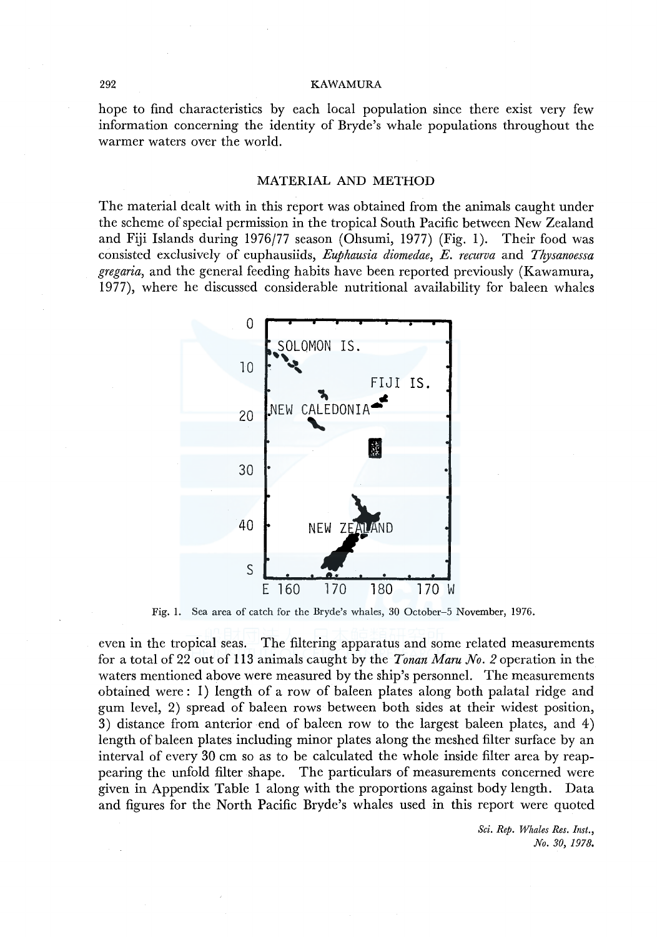#### 292 KAWAMURA

hope to find characteristics by each local population since there exist very few information concerning the identity of Bryde's whale populations throughout the warmer waters over the world.

## MATERIAL AND METHOD

The material dealt with in this report was obtained from the animals caught under the scheme of special permission in the tropical South Pacific between New Zealand and Fiji Islands during 1976/77 season (Ohsumi, 1977) (Fig. 1). Their food was consisted exclusively of euphausiids, *Euphausia diomedae, E. recurva* and *Thysanoessa gregaria,* and the general feeding habits have been reported previously (Kawamura, 1977), where he discussed considerable nutritional availability for baleen whales



Fig. I. Sea area of catch for the Bryde's whales, 30 October-5 November, 1976.

even in the tropical seas. The filtering apparatus and some related measurements for a total of 22 out of 113 animals caught by the *Yonan Maru No. 2* operation in the waters mentioned above were measured by the ship's personnel. The measurements obtained were: 1) length of a row of baleen plates along both palatal ridge and gum level, 2) spread of baleen rows between both sides at their widest position, 3) distance from anterior end of baleen row to the largest baleen plates, and 4) length of baleen plates including minor plates along the meshed filter surface by an interval of every 30 cm so as to be calculated the whole inside filter area by reappearing the unfold filter shape. The particulars of measurements concerned were given in Appendix Table 1 along with the proportions against body length. Data and figures for the North Pacific Bryde's whales used in this report were quoted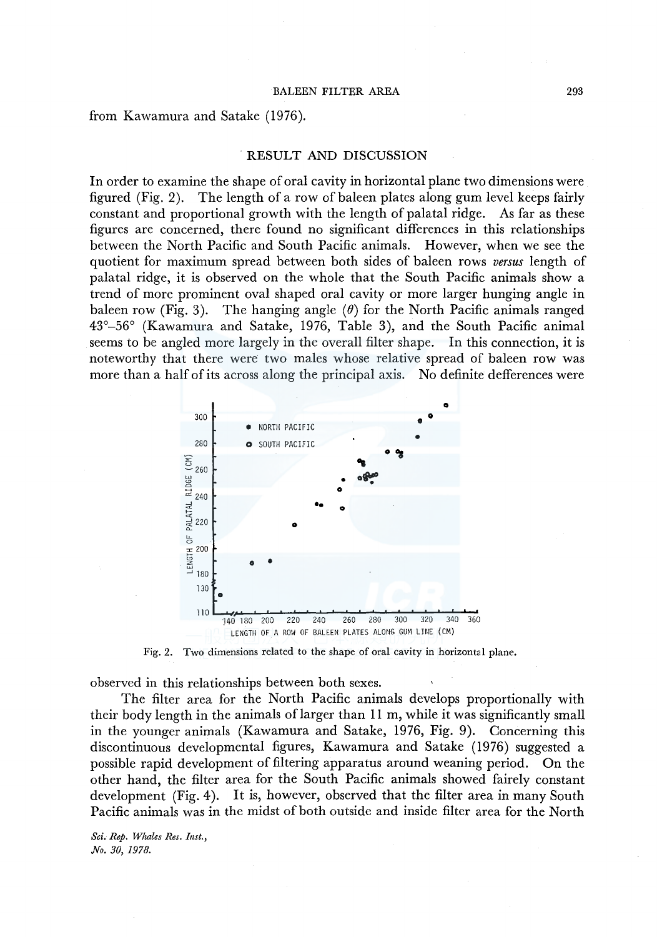from Kawamura and Satake (1976) .

#### . RESULT AND DISCUSSION

In order to examine the shape of oral cavity in horizontal plane two dimensions were figured (Fig. 2). The length of a row of baleen plates along gum level keeps fairly constant and proportional growth with the length of palatal ridge. As far as these figures are concerned, there found no significant differences in this relationships between the North Pacific and South Pacific animals. However, when we see the quotient for maximum spread between both sides of baleen rows *versus* length of palatal ridge, it is observed on the whole that the South Pacific animals show a trend of more prominent oval shaped oral cavity or more larger hunging angle in baleen row (Fig. 3). The hanging angle  $(\theta)$  for the North Pacific animals ranged 43°-56° (Kawamura and Satake, 1976, Table 3), and the South Pacific animal seems to be angled more largely in the overall filter shape. In this connection, it is noteworthy that there were two males whose relative spread of baleen row was more than a half of its across along the principal axis. No definite defferences were



Fig. 2. Two dimensions related to the shape of oral cavity in horizontal plane.

observed in this relationships between both sexes.

The filter area for the North Pacific animals develops proportionally with their body length in the animals of larger than 11 m, while it was significantly small in the younger animals (Kawamura and Satake, 1976, Fig. 9). Concerning this discontinuous developmental figures, Kawamura and Satake (1976) suggested a possible rapid development of filtering apparatus around weaning period. On the other hand, the filter area for the South Pacific animals showed fairely constant development (Fig. 4). It is, however, observed that the filter area in many South Pacific animals was in the midst of both outside and inside filter area for the North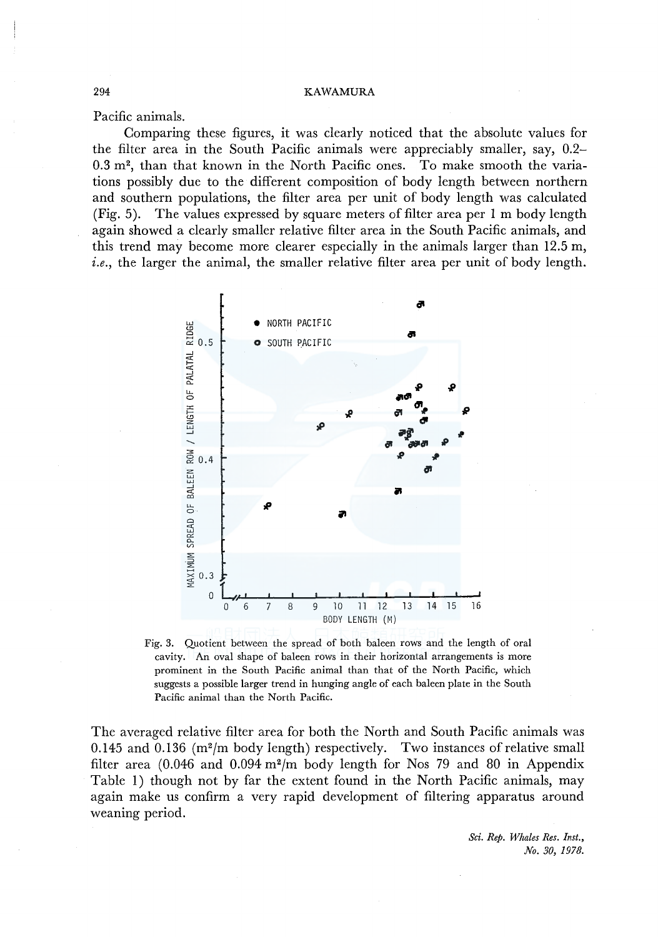Pacific animals.

Comparing these figures, it was clearly noticed that the absolute values for the filter area in the South Pacific animals were appreciably smaller, say, 0.2- 0.3 m2, than that known in the North Pacific ones. To make smooth the variations possibly due to the different composition of body length between northern and southern populations, the filter area per unit of body length was calculated (Fig. 5). The values expressed by square meters of filter area per 1 m body length again showed a clearly smaller relative filter area in the South Pacific animals, and this trend may become more clearer especially in the animals larger than 12.5 m, *i.e.*, the larger the animal, the smaller relative filter area per unit of body length.



Fig. 3. Quotient between the spread of both baleen rows and the length of oral cavity. An oval shape of baleen rows in their horizontal arrangements is more prominent in the South Pacific animal than that of the North Pacific, which suggests a possible larger trend in hunging angle of each baleen plate in the South Pacific animal than the North Pacific.

The averaged relative filter area for both the North and South Pacific animals was 0.145 and 0.136 ( $m^2/m$  body length) respectively. Two instances of relative small filter area  $(0.046$  and  $0.094$  m<sup>2</sup>/m body length for Nos 79 and 80 in Appendix Table 1) though not by far the extent found in the North Pacific animals, may again make us confirm a very rapid development of filtering apparatus around weaning period.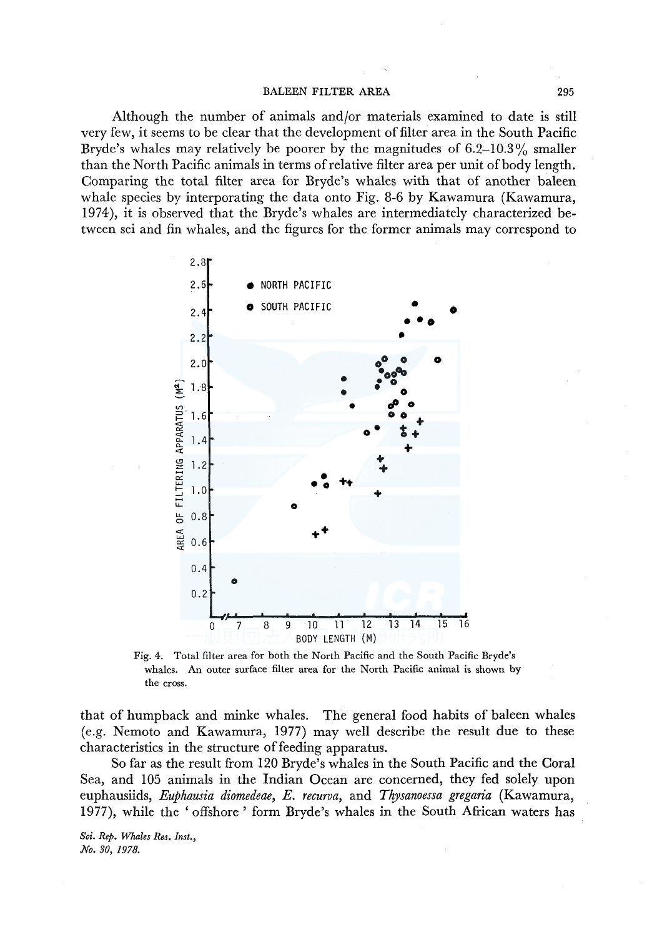#### BALEEN FILTER AREA 295

Although the number of animals and/or materials examined to date is still very few, it seems to be clear that the development of filter area in the South Pacific Bryde's whales may relatively be poorer by the magnitudes of  $6.2-10.3\%$  smaller than the North Pacific animals in terms ofrelative filter area per unit of body length. Comparing the total filter area for Bryde's whales with that of another baleen whale species by interporating the data onto Fig. 8-6 by Kawamura (Kawamura, 1974), it is observed that the Bryde's whales are intermediately characterized between sei and fin whales, and the figures for the former animals may correspond to



Fig. 4. Total filter area for both the North Pacific and the South Pacific Bryde's whales. An outer surface filter area for the North Pacific animal is shown by the cross.

that of humpback and minke whales. The general food habits of baleen whales (e.g. Nemoto and Kawamura, 1977) may well describe the result due to these characteristics in the structure of feeding apparatus.

So far as the result from 120 Bryde's whales in the South Pacific and the Coral Sea, and 105 animals in the Indian Ocean are concerned, they fed solely upon euphausiids, *Euphausia diomedeae, E. recurva,* and *Thysanoessa gregaria* (Kawamura, 1977), while the 'offshore ' form Bryde's whales in the South African waters has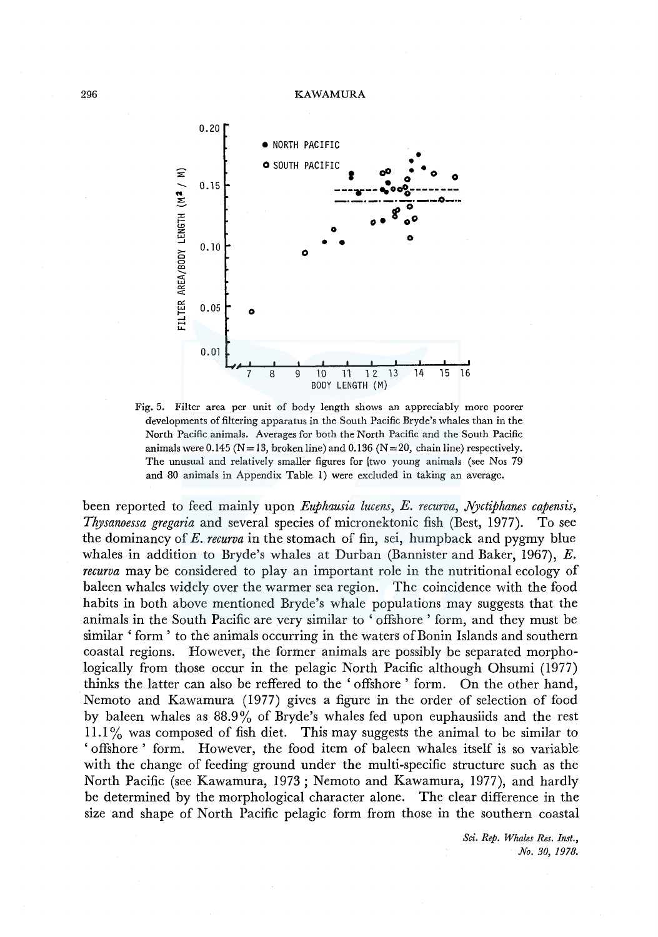

Fig. 5. Filter area per unit of body length shows an appreciably more poorer developments of filtering apparatus in the South Pacific Bryde's whales than in the North Pacific animals. Averages for both the North Pacific and the South Pacific animals were 0.145 ( $N=13$ , broken line) and 0.136 ( $N=20$ , chain line) respectively. The unusual and relatively smaller figures for two young animals (see Nos 79 and 80 animals in Appendix Table 1) were excluded in taking an average.

been reported to feed mainly upon *Euphausia lucens, E. recurva, Nyctiphanes capensis, Thysanoessa gregaria* and several species of micronektonic fish (Best, 1977). To see the dominancy of *E. recurva* in the stomach of fin, sei, humpback and pygmy blue whales in addition to Bryde's whales at Durban (Bannister and Baker, 1967),  $E$ . *recurva* may be considered to play an important role in the nutritional ecology of baleen whales widely over the warmer sea region. The coincidence with the food habits in both above mentioned Bryde's whale populations may suggests that the animals in the South Pacific are very similar to ' offshore ' form, and they must be similar' form' to the animals occurring in the waters of Bonin Islands and southern coastal regions. However, the former animals are possibly be separated morphologically from those occur in the pelagic North Pacific although Ohsumi (1977) thinks the latter can also be reffered to the ' offshore ' form. On the other hand, Nemoto and Kawamura (1977) gives a figure in the order of selection of food by baleen whales as 88.9% of Bryde's whales fed upon euphausiids and the rest **11.1** % was composed of fish diet. This may suggests the animal to be similar to 'offshore' form. However, the food item of baleen whales itself is so variable with the change of feeding ground under the multi-specific structure such as the North Pacific (see Kawamura, 1973; Nemoto and Kawamura, 1977), and hardly be determined by the morphological character alone. The clear difference in the size and shape of North Pacific pelagic form from those in the southern coastal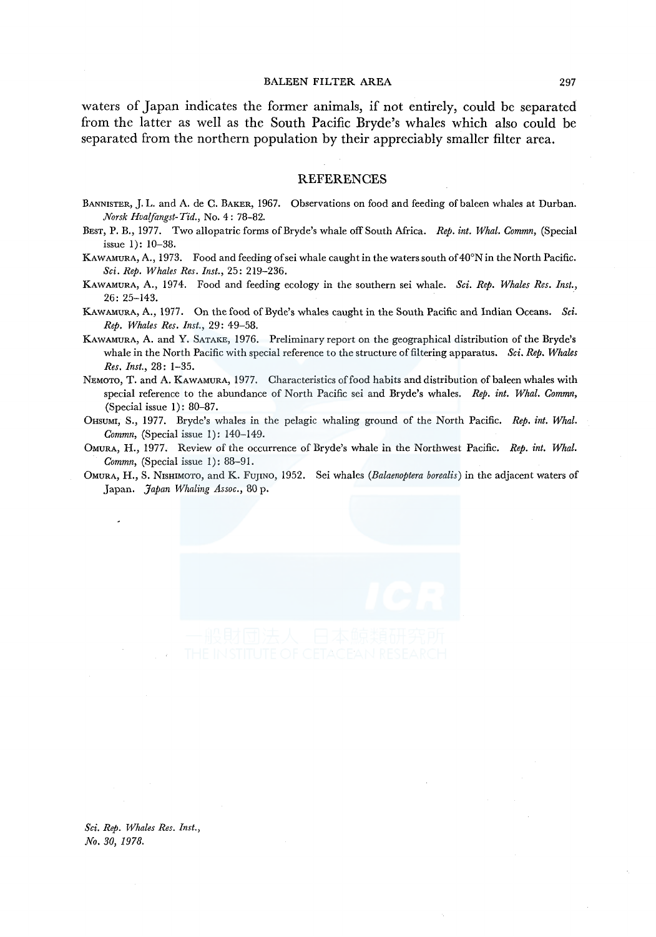#### BALEEN FILTER AREA 297

waters of Japan indicates the former animals, if not entirely, could be separated from the latter as well as the South Pacific Bryde's whales which also could be separated from the northern population by their appreciably smaller filter area.

#### **REFERENCES**

- BANNISTER, J. L. and A. de C. BAKER, 1967. Observations on food and feeding of baleen whales at Durban. *Norsk Hvaifangst-Tid.,* No. 4 : 78-82.
- BEsT, P. B., 1977. Two allopatric forms of Bryde's whale off South Africa. *Rep. int. Whal. Commn,* (Special issue 1): 10-38.
- KAWAMURA, A., 1973. Food and feeding ofsei whale caught in the waters south of 40°N in the North Pacific. *Sci. Rep. Whales Res. Inst.,* 25: 219-236.
- KAWAMURA, A., 1974. Food and feeding ecology in the southern sei whale. *Sci. Rep. Whales Res. Inst.*, 26: 25-143.
- KAWAMURA, A., 1977. On the food of Byde's whales caught in the South Pacific and Indian Oceans. *Sci. Rep. Whales Res. Inst.,* 29: 49-58.
- KAWAMURA, A. and Y. SATAKE, 1976. Preliminary report on the geographical distribution of the Bryde's whale in the North Pacific with special reference to the structure of filtering apparatus. *Sci. Rep. Whales Res. Inst.,* 28: 1-35.
- NEMOTO, T. and A. KAWAMURA, 1977. Characteristics of food habits and distribution of baleen whales with special reference to the abundance of North Pacific sei and Bryde's whales. *Rep. int. Whal. Commn,*  (Special issue 1): 80-87.
- 0HSUMI, S., 1977. Bryde's whales in the pelagic whaling ground of the North Pacific. *Rep. int. Whal. Commn,* (Special issue 1): 140-149.
- OMURA, H., 1977. Review of the occurrence of Bryde's whale in the Northwest Pacific. *Rep. int. Whal. Commn,* (Special issue 1): 88-91.
- OMURA, H., S. NrsHIMOTO, and K. FUJINO, 1952. Sei whales *(Balaenoptera borealis)* in the adjacent waters of Japan. *Japan Whaling Assoc.,* 80 p.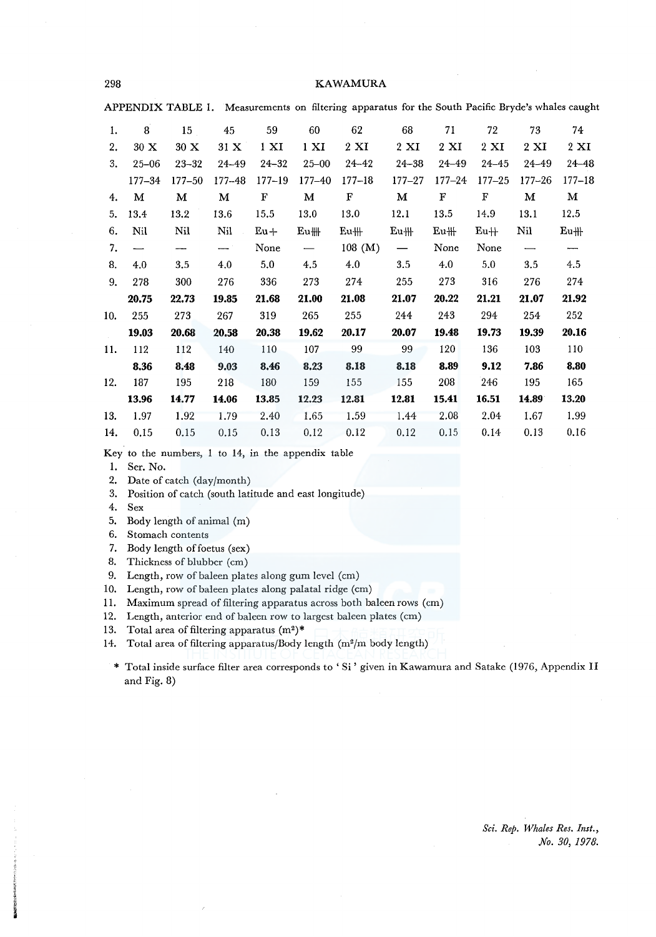298 KAWAMURA

APPENDIX TABLE I. Measurements on filtering apparatus for the South Pacific Bryde's whales caught

| 1.  | 8                        | 15         | 45                       | 59               | 60                       | 62              | 68              | 71              | 72              | 73              | 74                       |
|-----|--------------------------|------------|--------------------------|------------------|--------------------------|-----------------|-----------------|-----------------|-----------------|-----------------|--------------------------|
| 2.  | 30 X                     | 30 X       | 31 X                     | $1 \mathrm{X}$ I | 1 XI                     | $2 \mathbf{XI}$ | $2 \mathrm{XI}$ | $2 \mathrm{XI}$ | $2 \mathrm{XI}$ | $2 \mathrm{XI}$ | $2 \mathbf{X}$           |
| 3.  | $25 - 06$                | $23 - 32$  | 24-49                    | $24 - 32$        | $25 - 00$                | $24 - 42$       | $24 - 38$       | $24 - 49$       | $24 - 45$       | 24-49           | $24 - 48$                |
|     | $177 - 34$               | $177 - 50$ | $177 - 48$               | $177 - 19$       | $177 - 40$               | $177 - 18$      | $177 - 27$      | $177 - 24$      | $177 - 25$      | $177 - 26$      | $177 - 18$               |
| 4.  | м                        | М          | М                        | F                | м                        | F               | М               | F               | F               | м               | м                        |
| 5.  | 13.4                     | 13.2       | 13.6                     | 15.5             | 13.0                     | 13.0            | 12.1            | 13.5            | 14.9            | 13.1            | 12.5                     |
| 6.  | Nil                      | Nil        | Nil                      | $Eu+$            | $Eu$ ##                  | $Eu$ #          | $Eu$ $#$        | $Eu$ #          | $Eu+$           | Nil             | $Eu$ $\parallel$         |
| 7.  | $\overline{\phantom{0}}$ | ---        | $\overline{\phantom{m}}$ | None             | $\overline{\phantom{0}}$ | 108~(M)         | $\qquad \qquad$ | None            | None            |                 | $\overline{\phantom{a}}$ |
| 8.  | 4.0                      | 3.5        | 4.0                      | 5.0              | 4.5                      | 4.0             | 3.5             | 4.0             | 5.0             | 3.5             | 4.5                      |
| 9.  | 278                      | 300        | 276                      | 336              | 273                      | 274             | 255             | 273             | 316             | 276             | 274                      |
|     | 20.75                    | 22.73      | 19.85                    | 21.68            | 21.00                    | 21.08           | 21.07           | 20.22           | 21.21           | 21.07           | 21.92                    |
| 10. | 255                      | 273        | 267                      | 319              | 265                      | 255             | 244             | 243             | 294             | 254             | 252                      |
|     | 19.03                    | 20.68      | 20.58                    | 20.38            | 19.62                    | 20.17           | 20.07           | 19.48           | 19.73           | 19.39           | 20.16                    |
| 11. | 112                      | 112        | 140                      | 110              | 107                      | 99              | 99              | 120             | 136             | 103             | 110                      |
|     | 8.36                     | 8.48       | 9.03                     | 8.46             | 8.23                     | 8.18            | 8.18            | 8.89            | 9.12            | 7.86            | 8.80                     |
| 12. | 187                      | 195        | 218                      | 180              | 159                      | 155             | 155             | 208             | 246             | 195             | 165                      |
|     | 13.96                    | 14.77      | 14.06                    | 13.85            | 12.23                    | 12.81           | 12.81           | 15.41           | 16.51           | 14.89           | 13.20                    |
| 13. | 1.97                     | 1.92       | 1.79                     | 2.40             | 1.65                     | 1.59            | 1.44            | 2.08            | 2.04            | 1.67            | 1.99                     |
| 14. | 0.15                     | 0.15       | 0.15                     | 0.13             | 0.12                     | 0.12            | 0.12            | 0.15            | 0.14            | 0.13            | 0.16                     |

Key to the numbers, 1 to 14, in the appendix table

1. Ser. No.

- 2. Date of catch (day/month)
- 3. Position of catch (south latitude and east longitude)
- 4. Sex
- 5. Body length of animal (m)
- 6. Stomach contents
- 7. Body length of foetus (sex)
- 8. Thickness of blubber (cm)
- 9. Length, row of baleen plates along gum level (cm)
- 10. Length, row of baleen plates along palatal ridge (cm)
- 11. Maximum spread of filtering apparatus across both baleen rows (cm)
- 12. Length, anterior end of baleen row to largest baleen plates (cm)
- 13. Total area of filtering apparatus  $(m^2)^*$
- 14. Total area of filtering apparatus/Body length  $(m^2/m$  body length)
	- \* Total inside surface filter area corresponds to 'Si' given in Kawamura and Satake (1976, Appendix II and Fig. 8)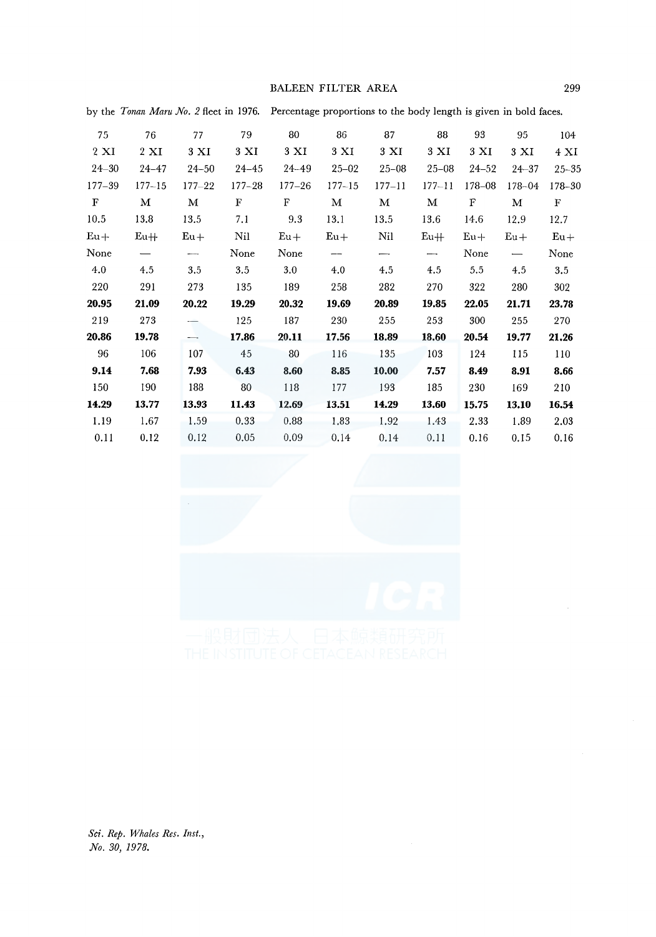### BALEEN FILTER AREA 299

| 75             | 76             | 77                       | 79         | 80         | 86         | 87        | 88         | 93         | 95        | 104         |
|----------------|----------------|--------------------------|------------|------------|------------|-----------|------------|------------|-----------|-------------|
| $2 \mathbf{X}$ | $2 \mathbf{X}$ | 3 XI                     | 3 XI       | 3 XI       | 3 XI       | 3 XI      | 3 XI       | 3 XI       | 3 XI      | 4 XI        |
| $24 - 30$      | $24 - 47$      | $24 - 50$                | $24 - 45$  | 24-49      | $25 - 02$  | $25 - 08$ | $25 - 08$  | $24 - 52$  | $24 - 37$ | $25 - 35$   |
| $177 - 39$     | $177 - 15$     | $177 - 22$               | $177 - 28$ | $177 - 26$ | $177 - 15$ | 177–11    | $177 - 11$ | $178 - 08$ | 178-04    | 178-30      |
| $\mathbf F$    | м              | м                        | F          | F          | М          | М         | м          | ${\bf F}$  | М         | $\mathbf F$ |
| 10.5           | 13.8           | 13.5                     | 7.1        | 9.3        | 13.1       | 13.5      | 13.6       | 14.6       | 12.9      | 12.7        |
| $Eu+$          | $Eu+$          | $Eu+$                    | Nil        | $Eu+$      | $Eu+$      | Nil       | $Eu+$      | $Eu+$      | $Eu+$     | $Eu+$       |
| None           |                | $\overline{\phantom{a}}$ | None       | None       | --         | -------   | $-\cdot$   | None       |           | None        |
| 4.0            | 4.5            | 3.5                      | 3.5        | 3.0        | 4.0        | 4.5       | 4.5        | 5.5        | 4.5       | 3.5         |
| 220            | 291            | 273                      | 135        | 189        | 258        | 282       | 270        | 322        | 280       | 302         |
| 20.95          | 21.09          | 20.22                    | 19.29      | 20.32      | 19.69      | 20.89     | 19.85      | 22.05      | 21.71     | 23.78       |
| 219            | 273            |                          | 125        | 187        | 230        | 255       | 253        | 300        | 255       | 270         |
| 20.86          | 19.78          | —                        | 17.86      | 20.11      | 17.56      | 18.89     | 18.60      | 20.54      | 19.77     | 21.26       |
| 96             | 106            | 107                      | 45         | 80         | 116        | 135       | 103        | 124        | 115       | 110         |
| 9.14           | 7.68           | 7.93                     | 6.43       | 8.60       | 8.85       | 10.00     | 7.57       | 8.49       | 8.91      | 8.66        |
| 150            | 190            | 188                      | 80         | 118        | 177        | 193       | 185        | 230        | 169       | 210         |
| 14.29          | 13.77          | 13.93                    | 11.43      | 12.69      | 13.51      | 14.29     | 13.60      | 15.75      | 13.10     | 16.54       |
| 1.19           | 1.67           | 1.59                     | 0.33       | 0.88       | 1.83       | 1.92      | 1.43       | 2.33       | 1.89      | 2.03        |
| 0.11           | 0.12           | 0.12                     | 0.05       | 0.09       | 0.14       | 0.14      | 0.11       | 0.16       | 0.15      | 0.16        |

by the *Tonan Maru No. 2* fleet in 1976. Percentage proportions to the body length is given in bold faces.